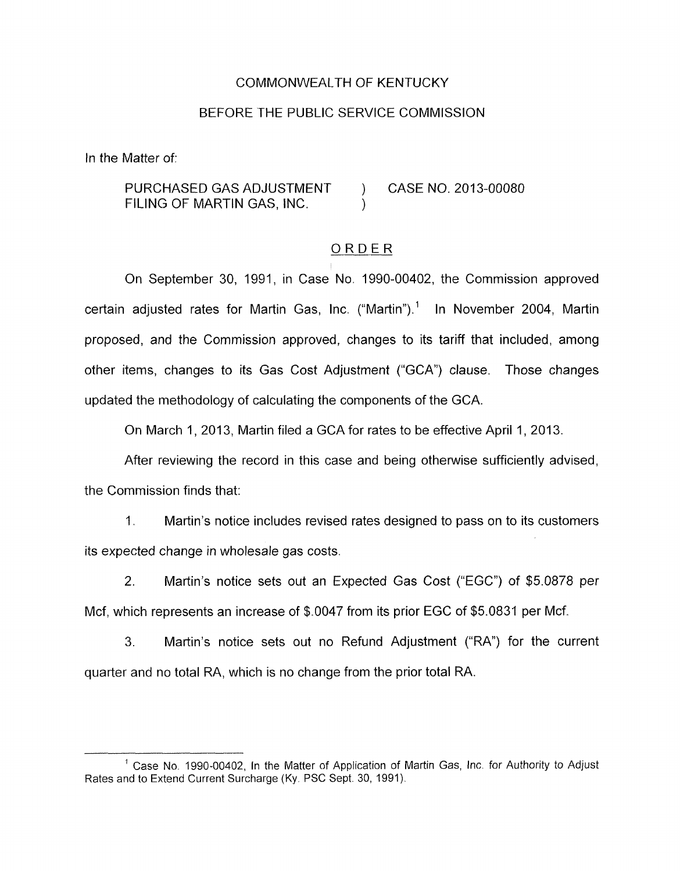### COMMONWEALTH OF KENTUCKY

### BEFORE THE PUBLIC SERVICE COMMISSION

In the Matter of:

PURCHASED GAS ADJUSTMENT ) CASE NO. 2013-00080 FILING OF MARTIN GAS, INC.  $\overline{ORDER}$ <br>
No 1990-00402 the Comm

On September 30, 1991, in Case No. 1990-00402, the Commission approved certain adjusted rates for Martin Gas, Inc. ("Martin").' In November 2004, Martin proposed, and the Commission approved, changes to its tariff that included, among other items, changes to its Gas Cost Adjustment ("GCA") clause. Those changes updated the methodology of calculating the components of the GCA.

On March 1, 2013, Martin filed a GCA for rates to be effective April 1, 2013.

After reviewing the record in this case and being otherwise sufficiently advised, the Commission finds that:

1 **I** Martin's notice includes revised rates designed to pass on to its customers its expected change in wholesale gas costs.

2. Martin's notice sets out an Expected Gas Cost ("EGC") of \$5.0878 per Mcf, which represents an increase of \$.0047 from its prior EGC of \$5.0831 per Mcf.

**3.** Martin's notice sets out no Refund Adjustment ("RA") for the current quarter and no total RA, which is no change from the prior total RA.

Case No. 1990-00402, In the Matter of Application of Martin Gas, Inc. for Authority *to* Adjust *<sup>1</sup>* Rates and to Extend Current Surcharge (Ky. PSC Sept. 30, 1991).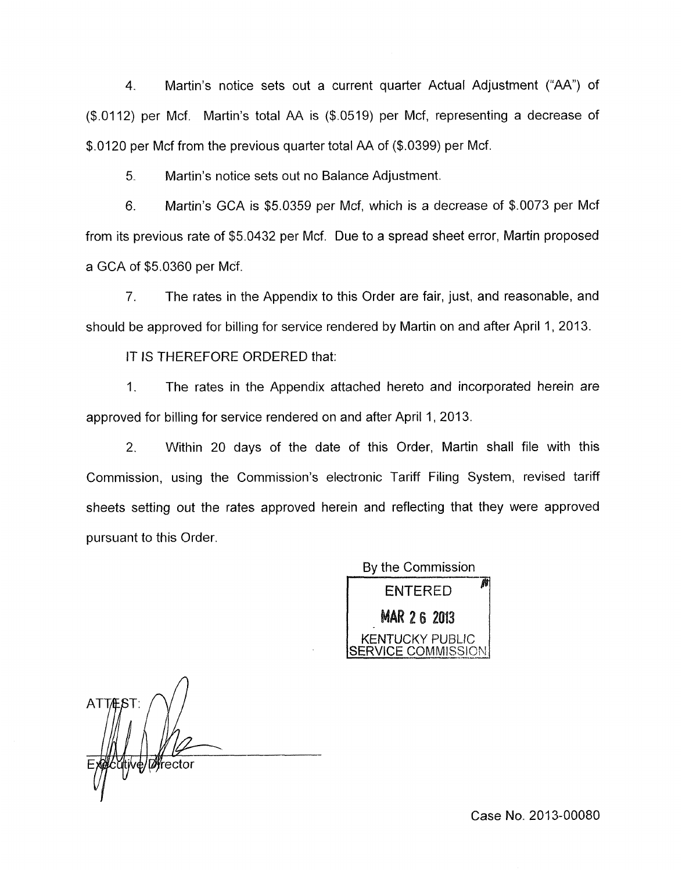4. Martin's notice sets out a current quarter Actual Adjustment ("AA") of (\$.0112) per Mcf. Martin's total AA is (\$.0519) per Mcf, representing a decrease of \$.0120 per Mcf from the previous quarter total AA of (\$.0399) per Mcf.

5. Martin's notice sets out no Balance Adjustment.

6. Martin's GCA is \$5.0359 per Mcf, which is a decrease of \$.0073 per Mcf from its previous rate of \$5.0432 per Mcf. Due to a spread sheet error, Martin proposed a GCA of \$5.0360 per Mcf.

7. The rates in the Appendix to this Order are fair, just, and reasonable, and should be approved for billing for service rendered by Martin on and after April 1, 2013.

IT IS THEREFORE ORDERED that:

1. The rates in the Appendix attached hereto and incorporated herein are approved for billing for service rendered on and after April 1, 2013.

2. Within 20 days of the date of this Order, Martin shall file with this Commission, using the Commission's electronic Tariff Filing System, revised tariff sheets setting out the rates approved herein and reflecting that they were approved pursuant to this Order.

> By the Commission **ENTERED MAR 2 6 2013** KENTUCKY PUBLIC **COMMISSION**

*A*  **ATTES** ve/Øfrector **I** 

Case No. 2013-00080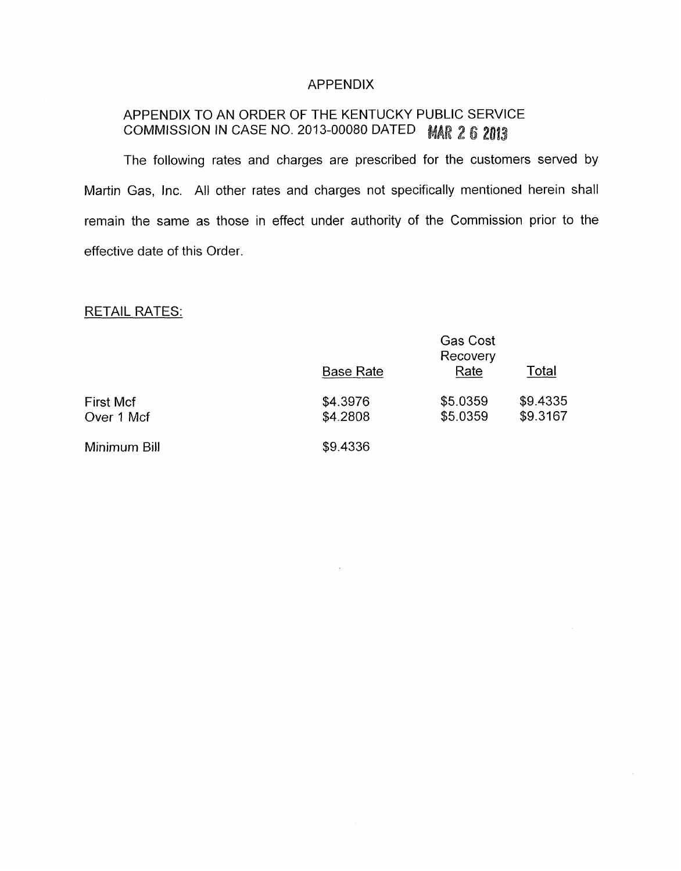## APPENDIX

# APPENDIX TO AN ORDER OF THE KENTUCKY PUBLIC SERVICE COMMISSION IN CASE NO. 2013-00080 DATED MAR 2 6 2013

The following rates and charges are prescribed for the customers served by Martin Gas, Inc. All other rates and charges not specifically mentioned herein shall remain the same as those in effect under authority of the Commission prior to the effective date of this Order.

# RETAIL RATES:

| KETAIL KATES.                  |                      |                                     |                      |
|--------------------------------|----------------------|-------------------------------------|----------------------|
|                                | <b>Base Rate</b>     | <b>Gas Cost</b><br>Recovery<br>Rate | Total                |
| <b>First Mcf</b><br>Over 1 Mcf | \$4.3976<br>\$4.2808 | \$5.0359<br>\$5.0359                | \$9.4335<br>\$9.3167 |
| Minimum Bill                   | \$9.4336             |                                     |                      |